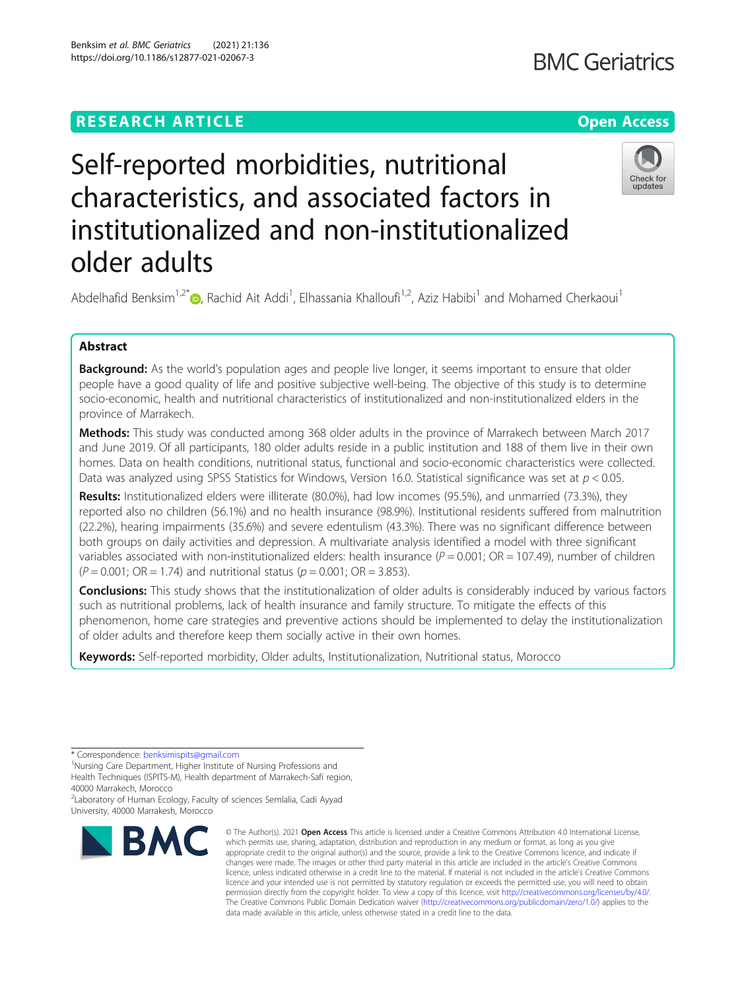https://doi.org/10.1186/s12877-021-02067-3

# **BMC Geriatrics**



Self-reported morbidities, nutritional characteristics, and associated factors in institutionalized and non-institutionalized older adults

Abdelhafid Benksim<sup>1,2\*</sup> <sub>(b</sub>, Rachid Ait Addi<sup>1</sup>, Elhassania Khalloufi<sup>1,2</sup>, Aziz Habibi<sup>1</sup> and Mohamed Cherkaoui<sup>1</sup>

# Abstract

**Background:** As the world's population ages and people live longer, it seems important to ensure that older people have a good quality of life and positive subjective well-being. The objective of this study is to determine socio-economic, health and nutritional characteristics of institutionalized and non-institutionalized elders in the province of Marrakech.

Methods: This study was conducted among 368 older adults in the province of Marrakech between March 2017 and June 2019. Of all participants, 180 older adults reside in a public institution and 188 of them live in their own homes. Data on health conditions, nutritional status, functional and socio-economic characteristics were collected. Data was analyzed using SPSS Statistics for Windows, Version 16.0. Statistical significance was set at  $p < 0.05$ .

Results: Institutionalized elders were illiterate (80.0%), had low incomes (95.5%), and unmarried (73.3%), they reported also no children (56.1%) and no health insurance (98.9%). Institutional residents suffered from malnutrition (22.2%), hearing impairments (35.6%) and severe edentulism (43.3%). There was no significant difference between both groups on daily activities and depression. A multivariate analysis identified a model with three significant variables associated with non-institutionalized elders: health insurance ( $P = 0.001$ ; OR = 107.49), number of children  $(P = 0.001; \text{ OR} = 1.74)$  and nutritional status ( $p = 0.001; \text{ OR} = 3.853$ ).

**Conclusions:** This study shows that the institutionalization of older adults is considerably induced by various factors such as nutritional problems, lack of health insurance and family structure. To mitigate the effects of this phenomenon, home care strategies and preventive actions should be implemented to delay the institutionalization of older adults and therefore keep them socially active in their own homes.

Keywords: Self-reported morbidity, Older adults, Institutionalization, Nutritional status, Morocco

\* Correspondence: [benksimispits@gmail.com](mailto:benksimispits@gmail.com) <sup>1</sup>

<sup>1</sup>Nursing Care Department. Higher Institute of Nursing Professions and Health Techniques (ISPITS-M), Health department of Marrakech-Safi region, 40000 Marrakech, Morocco

<sup>2</sup>Laboratory of Human Ecology, Faculty of sciences Semlalia, Cadi Ayyad University, 40000 Marrakesh, Morocco



© The Author(s), 2021 **Open Access** This article is licensed under a Creative Commons Attribution 4.0 International License, which permits use, sharing, adaptation, distribution and reproduction in any medium or format, as long as you give appropriate credit to the original author(s) and the source, provide a link to the Creative Commons licence, and indicate if changes were made. The images or other third party material in this article are included in the article's Creative Commons licence, unless indicated otherwise in a credit line to the material. If material is not included in the article's Creative Commons licence and your intended use is not permitted by statutory regulation or exceeds the permitted use, you will need to obtain permission directly from the copyright holder. To view a copy of this licence, visit [http://creativecommons.org/licenses/by/4.0/.](http://creativecommons.org/licenses/by/4.0/) The Creative Commons Public Domain Dedication waiver [\(http://creativecommons.org/publicdomain/zero/1.0/](http://creativecommons.org/publicdomain/zero/1.0/)) applies to the data made available in this article, unless otherwise stated in a credit line to the data.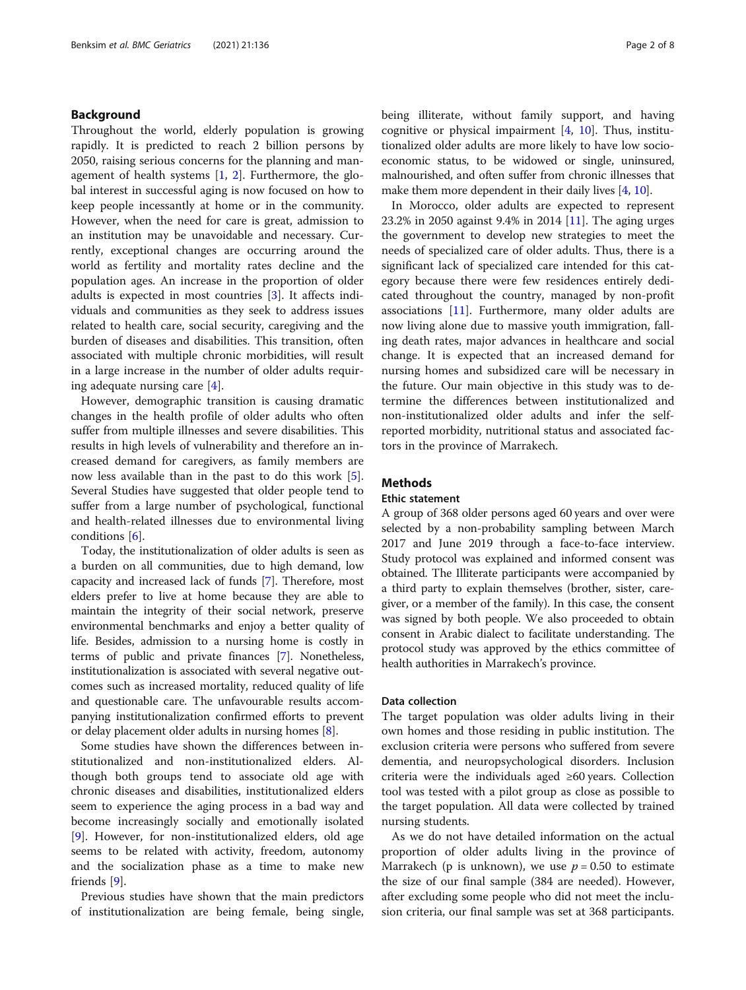# Background

Throughout the world, elderly population is growing rapidly. It is predicted to reach 2 billion persons by 2050, raising serious concerns for the planning and management of health systems [[1,](#page-6-0) [2\]](#page-6-0). Furthermore, the global interest in successful aging is now focused on how to keep people incessantly at home or in the community. However, when the need for care is great, admission to an institution may be unavoidable and necessary. Currently, exceptional changes are occurring around the world as fertility and mortality rates decline and the population ages. An increase in the proportion of older adults is expected in most countries [[3\]](#page-6-0). It affects individuals and communities as they seek to address issues related to health care, social security, caregiving and the burden of diseases and disabilities. This transition, often associated with multiple chronic morbidities, will result in a large increase in the number of older adults requiring adequate nursing care [[4](#page-6-0)].

However, demographic transition is causing dramatic changes in the health profile of older adults who often suffer from multiple illnesses and severe disabilities. This results in high levels of vulnerability and therefore an increased demand for caregivers, as family members are now less available than in the past to do this work [\[5](#page-6-0)]. Several Studies have suggested that older people tend to suffer from a large number of psychological, functional and health-related illnesses due to environmental living conditions [[6](#page-6-0)].

Today, the institutionalization of older adults is seen as a burden on all communities, due to high demand, low capacity and increased lack of funds [[7\]](#page-6-0). Therefore, most elders prefer to live at home because they are able to maintain the integrity of their social network, preserve environmental benchmarks and enjoy a better quality of life. Besides, admission to a nursing home is costly in terms of public and private finances [[7\]](#page-6-0). Nonetheless, institutionalization is associated with several negative outcomes such as increased mortality, reduced quality of life and questionable care. The unfavourable results accompanying institutionalization confirmed efforts to prevent or delay placement older adults in nursing homes [\[8\]](#page-6-0).

Some studies have shown the differences between institutionalized and non-institutionalized elders. Although both groups tend to associate old age with chronic diseases and disabilities, institutionalized elders seem to experience the aging process in a bad way and become increasingly socially and emotionally isolated [[9\]](#page-6-0). However, for non-institutionalized elders, old age seems to be related with activity, freedom, autonomy and the socialization phase as a time to make new friends [[9\]](#page-6-0).

Previous studies have shown that the main predictors of institutionalization are being female, being single, being illiterate, without family support, and having cognitive or physical impairment  $[4, 10]$  $[4, 10]$  $[4, 10]$  $[4, 10]$  $[4, 10]$ . Thus, institutionalized older adults are more likely to have low socioeconomic status, to be widowed or single, uninsured, malnourished, and often suffer from chronic illnesses that make them more dependent in their daily lives [[4,](#page-6-0) [10\]](#page-6-0).

In Morocco, older adults are expected to represent 23.2% in 2050 against 9.4% in 2014 [[11](#page-6-0)]. The aging urges the government to develop new strategies to meet the needs of specialized care of older adults. Thus, there is a significant lack of specialized care intended for this category because there were few residences entirely dedicated throughout the country, managed by non-profit associations  $[11]$  $[11]$ . Furthermore, many older adults are now living alone due to massive youth immigration, falling death rates, major advances in healthcare and social change. It is expected that an increased demand for nursing homes and subsidized care will be necessary in the future. Our main objective in this study was to determine the differences between institutionalized and non-institutionalized older adults and infer the selfreported morbidity, nutritional status and associated factors in the province of Marrakech.

# **Methods**

# Ethic statement

A group of 368 older persons aged 60 years and over were selected by a non-probability sampling between March 2017 and June 2019 through a face-to-face interview. Study protocol was explained and informed consent was obtained. The Illiterate participants were accompanied by a third party to explain themselves (brother, sister, caregiver, or a member of the family). In this case, the consent was signed by both people. We also proceeded to obtain consent in Arabic dialect to facilitate understanding. The protocol study was approved by the ethics committee of health authorities in Marrakech's province.

# Data collection

The target population was older adults living in their own homes and those residing in public institution. The exclusion criteria were persons who suffered from severe dementia, and neuropsychological disorders. Inclusion criteria were the individuals aged ≥60 years. Collection tool was tested with a pilot group as close as possible to the target population. All data were collected by trained nursing students.

As we do not have detailed information on the actual proportion of older adults living in the province of Marrakech (p is unknown), we use  $p = 0.50$  to estimate the size of our final sample (384 are needed). However, after excluding some people who did not meet the inclusion criteria, our final sample was set at 368 participants.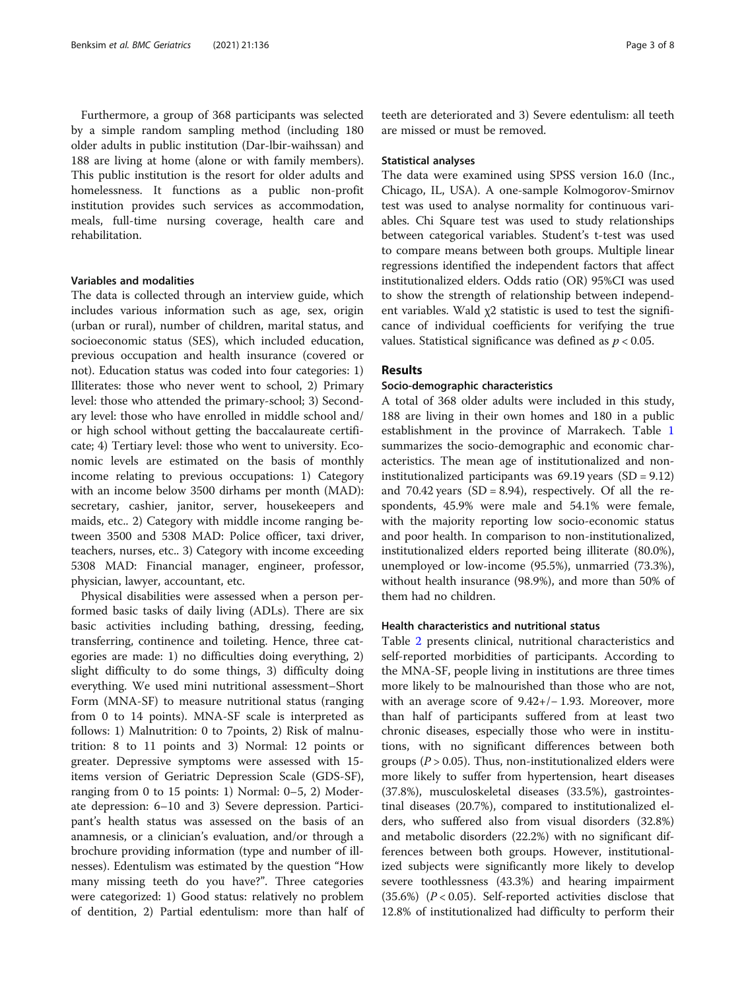Furthermore, a group of 368 participants was selected by a simple random sampling method (including 180 older adults in public institution (Dar-lbir-waihssan) and 188 are living at home (alone or with family members). This public institution is the resort for older adults and homelessness. It functions as a public non-profit institution provides such services as accommodation, meals, full-time nursing coverage, health care and rehabilitation.

# Variables and modalities

The data is collected through an interview guide, which includes various information such as age, sex, origin (urban or rural), number of children, marital status, and socioeconomic status (SES), which included education, previous occupation and health insurance (covered or not). Education status was coded into four categories: 1) Illiterates: those who never went to school, 2) Primary level: those who attended the primary-school; 3) Secondary level: those who have enrolled in middle school and/ or high school without getting the baccalaureate certificate; 4) Tertiary level: those who went to university. Economic levels are estimated on the basis of monthly income relating to previous occupations: 1) Category with an income below 3500 dirhams per month (MAD): secretary, cashier, janitor, server, housekeepers and maids, etc.. 2) Category with middle income ranging between 3500 and 5308 MAD: Police officer, taxi driver, teachers, nurses, etc.. 3) Category with income exceeding 5308 MAD: Financial manager, engineer, professor, physician, lawyer, accountant, etc.

Physical disabilities were assessed when a person performed basic tasks of daily living (ADLs). There are six basic activities including bathing, dressing, feeding, transferring, continence and toileting. Hence, three categories are made: 1) no difficulties doing everything, 2) slight difficulty to do some things, 3) difficulty doing everything. We used mini nutritional assessment–Short Form (MNA-SF) to measure nutritional status (ranging from 0 to 14 points). MNA-SF scale is interpreted as follows: 1) Malnutrition: 0 to 7points, 2) Risk of malnutrition: 8 to 11 points and 3) Normal: 12 points or greater. Depressive symptoms were assessed with 15 items version of Geriatric Depression Scale (GDS-SF), ranging from 0 to 15 points: 1) Normal: 0–5, 2) Moderate depression: 6–10 and 3) Severe depression. Participant's health status was assessed on the basis of an anamnesis, or a clinician's evaluation, and/or through a brochure providing information (type and number of illnesses). Edentulism was estimated by the question "How many missing teeth do you have?". Three categories were categorized: 1) Good status: relatively no problem of dentition, 2) Partial edentulism: more than half of

teeth are deteriorated and 3) Severe edentulism: all teeth are missed or must be removed.

## Statistical analyses

The data were examined using SPSS version 16.0 (Inc., Chicago, IL, USA). A one-sample Kolmogorov-Smirnov test was used to analyse normality for continuous variables. Chi Square test was used to study relationships between categorical variables. Student's t-test was used to compare means between both groups. Multiple linear regressions identified the independent factors that affect institutionalized elders. Odds ratio (OR) 95%CI was used to show the strength of relationship between independent variables. Wald  $\chi$ 2 statistic is used to test the significance of individual coefficients for verifying the true values. Statistical significance was defined as  $p < 0.05$ .

# Results

# Socio-demographic characteristics

A total of 368 older adults were included in this study, 188 are living in their own homes and 180 in a public establishment in the province of Marrakech. Table [1](#page-3-0) summarizes the socio-demographic and economic characteristics. The mean age of institutionalized and noninstitutionalized participants was  $69.19$  years  $(SD = 9.12)$ and 70.42 years  $(SD = 8.94)$ , respectively. Of all the respondents, 45.9% were male and 54.1% were female, with the majority reporting low socio-economic status and poor health. In comparison to non-institutionalized, institutionalized elders reported being illiterate (80.0%), unemployed or low-income (95.5%), unmarried (73.3%), without health insurance (98.9%), and more than 50% of them had no children.

# Health characteristics and nutritional status

Table [2](#page-4-0) presents clinical, nutritional characteristics and self-reported morbidities of participants. According to the MNA-SF, people living in institutions are three times more likely to be malnourished than those who are not, with an average score of 9.42+/− 1.93. Moreover, more than half of participants suffered from at least two chronic diseases, especially those who were in institutions, with no significant differences between both groups ( $P > 0.05$ ). Thus, non-institutionalized elders were more likely to suffer from hypertension, heart diseases (37.8%), musculoskeletal diseases (33.5%), gastrointestinal diseases (20.7%), compared to institutionalized elders, who suffered also from visual disorders (32.8%) and metabolic disorders (22.2%) with no significant differences between both groups. However, institutionalized subjects were significantly more likely to develop severe toothlessness (43.3%) and hearing impairment  $(35.6%)$   $(P < 0.05)$ . Self-reported activities disclose that 12.8% of institutionalized had difficulty to perform their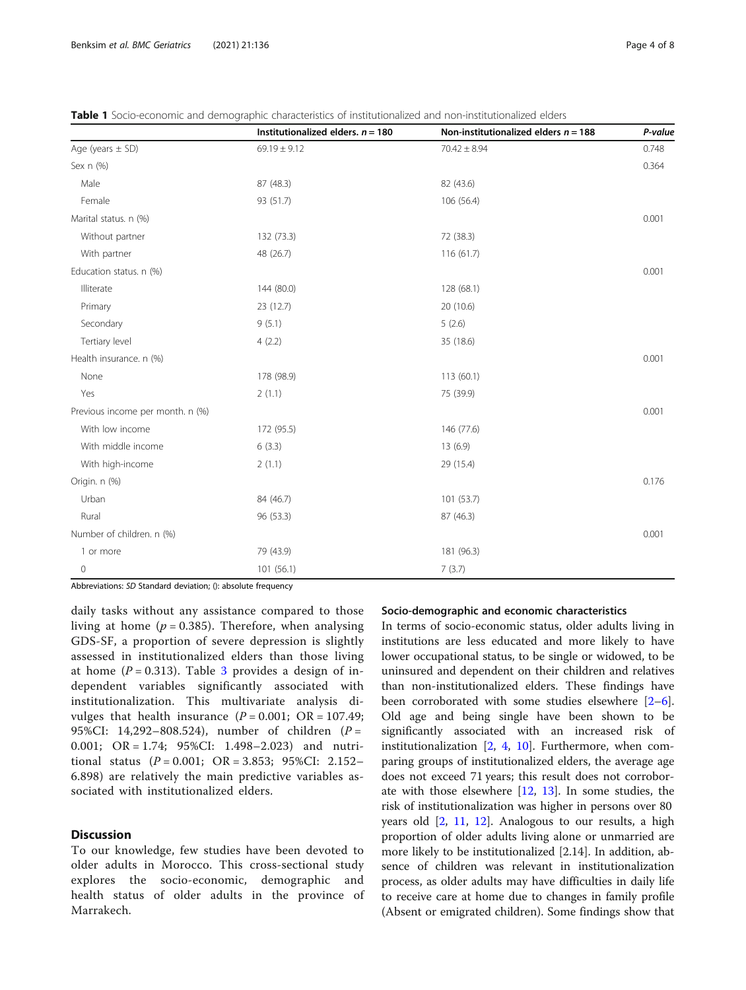|                                  | Institutionalized elders. $n = 180$ | Non-institutionalized elders $n = 188$ | P-value |
|----------------------------------|-------------------------------------|----------------------------------------|---------|
| Age (years $\pm$ SD)             | $69.19 \pm 9.12$                    | $70.42 \pm 8.94$                       | 0.748   |
| Sex n (%)                        |                                     |                                        | 0.364   |
| Male                             | 87 (48.3)                           | 82 (43.6)                              |         |
| Female                           | 93 (51.7)                           | 106 (56.4)                             |         |
| Marital status. n (%)            |                                     |                                        | 0.001   |
| Without partner                  | 132 (73.3)                          | 72 (38.3)                              |         |
| With partner                     | 48 (26.7)                           | 116 (61.7)                             |         |
| Education status. n (%)          |                                     |                                        | 0.001   |
| Illiterate                       | 144 (80.0)                          | 128 (68.1)                             |         |
| Primary                          | 23 (12.7)                           | 20 (10.6)                              |         |
| Secondary                        | 9(5.1)                              | 5(2.6)                                 |         |
| Tertiary level                   | 4(2.2)                              | 35 (18.6)                              |         |
| Health insurance. n (%)          |                                     |                                        | 0.001   |
| None                             | 178 (98.9)                          | 113(60.1)                              |         |
| Yes                              | 2(1.1)                              | 75 (39.9)                              |         |
| Previous income per month. n (%) |                                     |                                        | 0.001   |
| With low income                  | 172 (95.5)                          | 146 (77.6)                             |         |
| With middle income               | 6(3.3)                              | 13(6.9)                                |         |
| With high-income                 | 2(1.1)                              | 29 (15.4)                              |         |
| Origin. n (%)                    |                                     |                                        | 0.176   |
| Urban                            | 84 (46.7)                           | 101(53.7)                              |         |
| Rural                            | 96 (53.3)                           | 87 (46.3)                              |         |
| Number of children. n (%)        |                                     |                                        | 0.001   |
| 1 or more                        | 79 (43.9)                           | 181 (96.3)                             |         |
| $\mathsf{O}\xspace$              | 101(56.1)                           | 7(3.7)                                 |         |

<span id="page-3-0"></span>Table 1 Socio-economic and demographic characteristics of institutionalized and non-institutionalized elders

Abbreviations: SD Standard deviation; (): absolute frequency

daily tasks without any assistance compared to those living at home ( $p = 0.385$ ). Therefore, when analysing GDS-SF, a proportion of severe depression is slightly assessed in institutionalized elders than those living at home  $(P = 0.313)$  $(P = 0.313)$  $(P = 0.313)$ . Table 3 provides a design of independent variables significantly associated with institutionalization. This multivariate analysis divulges that health insurance  $(P = 0.001; \text{ OR } = 107.49;$ 95%CI: 14,292–808.524), number of children (P = 0.001; OR = 1.74; 95%CI: 1.498–2.023) and nutritional status  $(P = 0.001; \text{ OR } = 3.853; 95\% \text{ CI: } 2.152 -$ 6.898) are relatively the main predictive variables associated with institutionalized elders.

# **Discussion**

To our knowledge, few studies have been devoted to older adults in Morocco. This cross-sectional study explores the socio-economic, demographic and health status of older adults in the province of Marrakech.

# Socio-demographic and economic characteristics

In terms of socio-economic status, older adults living in institutions are less educated and more likely to have lower occupational status, to be single or widowed, to be uninsured and dependent on their children and relatives than non-institutionalized elders. These findings have been corroborated with some studies elsewhere  $[2-6]$  $[2-6]$  $[2-6]$  $[2-6]$ . Old age and being single have been shown to be significantly associated with an increased risk of institutionalization  $[2, 4, 10]$  $[2, 4, 10]$  $[2, 4, 10]$  $[2, 4, 10]$  $[2, 4, 10]$  $[2, 4, 10]$ . Furthermore, when comparing groups of institutionalized elders, the average age does not exceed 71 years; this result does not corroborate with those elsewhere [[12](#page-7-0), [13\]](#page-7-0). In some studies, the risk of institutionalization was higher in persons over 80 years old [[2,](#page-6-0) [11](#page-6-0), [12\]](#page-7-0). Analogous to our results, a high proportion of older adults living alone or unmarried are more likely to be institutionalized [2.14]. In addition, absence of children was relevant in institutionalization process, as older adults may have difficulties in daily life to receive care at home due to changes in family profile (Absent or emigrated children). Some findings show that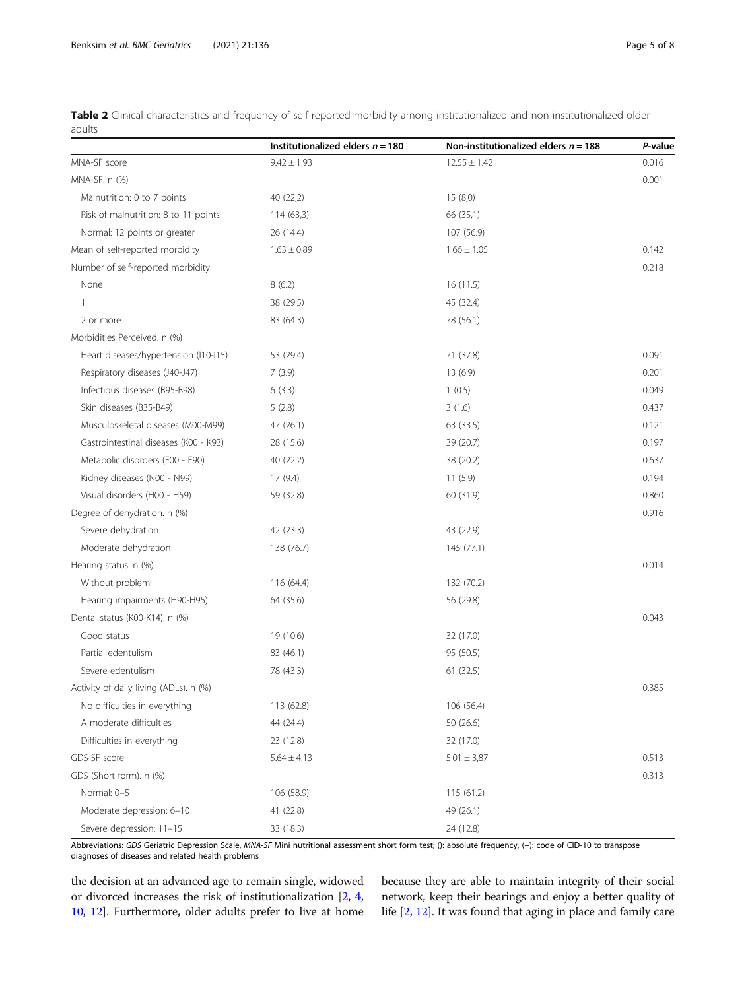|                                        | Institutionalized elders $n = 180$ | Non-institutionalized elders $n = 188$ | P-value |
|----------------------------------------|------------------------------------|----------------------------------------|---------|
| MNA-SF score                           | $9.42 \pm 1.93$                    | $12.55 \pm 1.42$                       | 0.016   |
| MNA-SF. n (%)                          |                                    |                                        | 0.001   |
| Malnutrition: 0 to 7 points            | 40 (22,2)                          | 15(8,0)                                |         |
| Risk of malnutrition: 8 to 11 points   | 114(63,3)                          | 66 (35,1)                              |         |
| Normal: 12 points or greater           | 26 (14.4)                          | 107 (56.9)                             |         |
| Mean of self-reported morbidity        | $1.63 \pm 0.89$                    | $1.66 \pm 1.05$                        | 0.142   |
| Number of self-reported morbidity      |                                    |                                        | 0.218   |
| None                                   | 8(6.2)                             | 16(11.5)                               |         |
| $\overline{1}$                         | 38 (29.5)                          | 45 (32.4)                              |         |
| 2 or more                              | 83 (64.3)                          | 78 (56.1)                              |         |
| Morbidities Perceived. n (%)           |                                    |                                        |         |
| Heart diseases/hypertension (I10-I15)  | 53 (29.4)                          | 71 (37.8)                              | 0.091   |
| Respiratory diseases (J40-J47)         | 7(3.9)                             | 13 (6.9)                               | 0.201   |
| Infectious diseases (B95-B98)          | 6(3.3)<br>1(0.5)                   |                                        | 0.049   |
| Skin diseases (B35-B49)                | 5(2.8)                             | 3(1.6)                                 | 0.437   |
| Musculoskeletal diseases (M00-M99)     | 47 (26.1)                          | 63 (33.5)                              | 0.121   |
| Gastrointestinal diseases (K00 - K93)  | 28 (15.6)                          | 39 (20.7)                              | 0.197   |
| Metabolic disorders (E00 - E90)        | 40 (22.2)                          | 38 (20.2)                              | 0.637   |
| Kidney diseases (N00 - N99)            | 17(9.4)                            | 11(5.9)                                | 0.194   |
| Visual disorders (H00 - H59)           | 59 (32.8)                          | 60 (31.9)                              | 0.860   |
| Degree of dehydration. n (%)           |                                    |                                        | 0.916   |
| Severe dehydration                     | 42 (23.3)                          | 43 (22.9)                              |         |
| Moderate dehydration                   | 138 (76.7)                         | 145 (77.1)                             |         |
| Hearing status. n (%)                  |                                    |                                        | 0.014   |
| Without problem                        | 116 (64.4)                         | 132 (70.2)                             |         |
| Hearing impairments (H90-H95)          | 64 (35.6)                          | 56 (29.8)                              |         |
| Dental status (K00-K14). n (%)         |                                    |                                        | 0.043   |
| Good status                            | 19 (10.6)                          | 32 (17.0)                              |         |
| Partial edentulism                     | 83 (46.1)                          | 95 (50.5)                              |         |
| Severe edentulism                      | 78 (43.3)                          | 61 (32.5)                              |         |
| Activity of daily living (ADLs). n (%) |                                    |                                        | 0.385   |
| No difficulties in everything          | 113 (62.8)                         | 106 (56.4)                             |         |
| A moderate difficulties                | 44 (24.4)                          | 50 (26.6)                              |         |
| Difficulties in everything             | 23 (12.8)                          | 32 (17.0)                              |         |
| GDS-SF score                           | $5.64 \pm 4.13$                    | $5.01 \pm 3.87$                        | 0.513   |
| GDS (Short form). n (%)                |                                    |                                        | 0.313   |
| Normal: 0-5                            | 106 (58.9)                         | 115 (61.2)                             |         |
| Moderate depression: 6-10              | 41 (22.8)                          | 49 (26.1)                              |         |
| Severe depression: 11-15               | 33 (18.3)                          | 24 (12.8)                              |         |

<span id="page-4-0"></span>Table 2 Clinical characteristics and frequency of self-reported morbidity among institutionalized and non-institutionalized older adults

Abbreviations: GDS Geriatric Depression Scale, MNA-SF Mini nutritional assessment short form test; (): absolute frequency, (−): code of CID-10 to transpose diagnoses of diseases and related health problems

the decision at an advanced age to remain single, widowed or divorced increases the risk of institutionalization [\[2](#page-6-0), [4](#page-6-0), [10](#page-6-0), [12\]](#page-7-0). Furthermore, older adults prefer to live at home

because they are able to maintain integrity of their social network, keep their bearings and enjoy a better quality of life [\[2](#page-6-0), [12\]](#page-7-0). It was found that aging in place and family care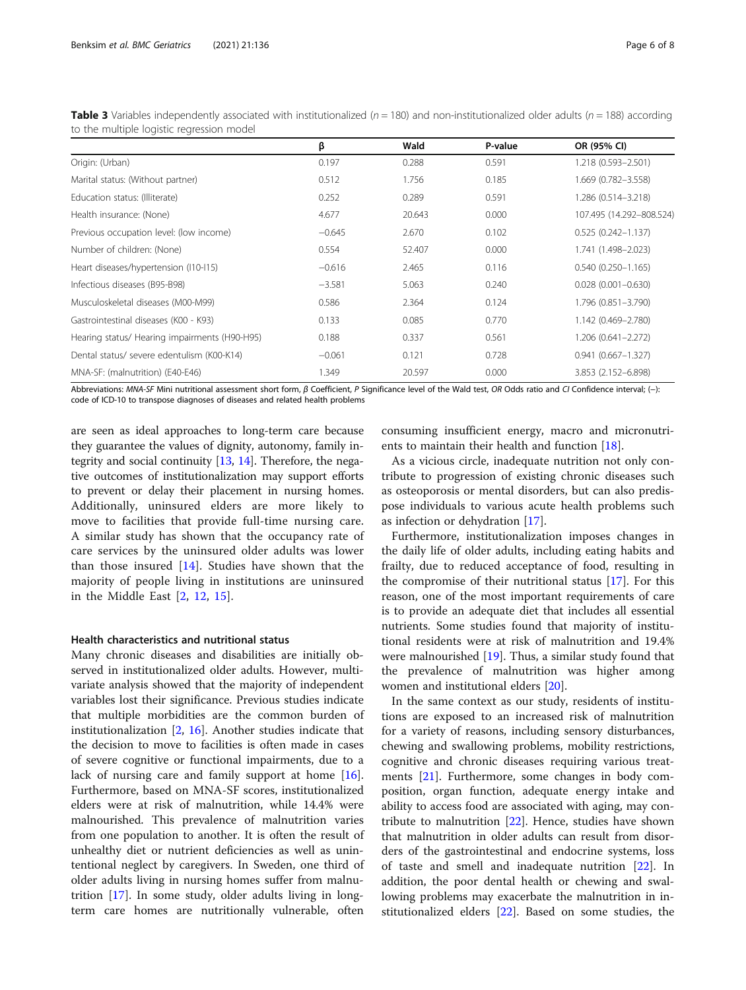|                                               | β        | Wald   | P-value | OR (95% CI)              |
|-----------------------------------------------|----------|--------|---------|--------------------------|
| Origin: (Urban)                               | 0.197    | 0.288  | 0.591   | 1.218 (0.593-2.501)      |
| Marital status: (Without partner)             | 0.512    | 1.756  | 0.185   | 1.669 (0.782-3.558)      |
| Education status: (Illiterate)                | 0.252    | 0.289  | 0.591   | 1.286 (0.514-3.218)      |
| Health insurance: (None)                      | 4.677    | 20.643 | 0.000   | 107.495 (14.292-808.524) |
| Previous occupation level: (low income)       | $-0.645$ | 2.670  | 0.102   | $0.525(0.242 - 1.137)$   |
| Number of children: (None)                    | 0.554    | 52.407 | 0.000   | 1.741 (1.498-2.023)      |
| Heart diseases/hypertension (I10-I15)         | $-0.616$ | 2.465  | 0.116   | $0.540(0.250 - 1.165)$   |
| Infectious diseases (B95-B98)                 | $-3.581$ | 5.063  | 0.240   | $0.028(0.001 - 0.630)$   |
| Musculoskeletal diseases (M00-M99)            | 0.586    | 2.364  | 0.124   | 1.796 (0.851-3.790)      |
| Gastrointestinal diseases (K00 - K93)         | 0.133    | 0.085  | 0.770   | 1.142 (0.469-2.780)      |
| Hearing status/ Hearing impairments (H90-H95) | 0.188    | 0.337  | 0.561   | $1.206(0.641 - 2.272)$   |
| Dental status/ severe edentulism (K00-K14)    | $-0.061$ | 0.121  | 0.728   | $0.941(0.667 - 1.327)$   |
| MNA-SF: (malnutrition) (E40-E46)              | 1.349    | 20.597 | 0.000   | 3.853 (2.152-6.898)      |

<span id="page-5-0"></span>**Table 3** Variables independently associated with institutionalized ( $n = 180$ ) and non-institutionalized older adults ( $n = 188$ ) according to the multiple logistic regression model

Abbreviations: MNA-SF Mini nutritional assessment short form, β Coefficient, P Significance level of the Wald test, OR Odds ratio and CI Confidence interval; (−): code of ICD-10 to transpose diagnoses of diseases and related health problems

are seen as ideal approaches to long-term care because they guarantee the values of dignity, autonomy, family integrity and social continuity [\[13,](#page-7-0) [14\]](#page-7-0). Therefore, the negative outcomes of institutionalization may support efforts to prevent or delay their placement in nursing homes. Additionally, uninsured elders are more likely to move to facilities that provide full-time nursing care. A similar study has shown that the occupancy rate of care services by the uninsured older adults was lower than those insured [[14](#page-7-0)]. Studies have shown that the majority of people living in institutions are uninsured in the Middle East [[2,](#page-6-0) [12,](#page-7-0) [15](#page-7-0)].

# Health characteristics and nutritional status

Many chronic diseases and disabilities are initially observed in institutionalized older adults. However, multivariate analysis showed that the majority of independent variables lost their significance. Previous studies indicate that multiple morbidities are the common burden of institutionalization [\[2](#page-6-0), [16\]](#page-7-0). Another studies indicate that the decision to move to facilities is often made in cases of severe cognitive or functional impairments, due to a lack of nursing care and family support at home [\[16](#page-7-0)]. Furthermore, based on MNA-SF scores, institutionalized elders were at risk of malnutrition, while 14.4% were malnourished. This prevalence of malnutrition varies from one population to another. It is often the result of unhealthy diet or nutrient deficiencies as well as unintentional neglect by caregivers. In Sweden, one third of older adults living in nursing homes suffer from malnutrition [[17\]](#page-7-0). In some study, older adults living in longterm care homes are nutritionally vulnerable, often

consuming insufficient energy, macro and micronutrients to maintain their health and function [\[18\]](#page-7-0).

As a vicious circle, inadequate nutrition not only contribute to progression of existing chronic diseases such as osteoporosis or mental disorders, but can also predispose individuals to various acute health problems such as infection or dehydration [\[17](#page-7-0)].

Furthermore, institutionalization imposes changes in the daily life of older adults, including eating habits and frailty, due to reduced acceptance of food, resulting in the compromise of their nutritional status [\[17](#page-7-0)]. For this reason, one of the most important requirements of care is to provide an adequate diet that includes all essential nutrients. Some studies found that majority of institutional residents were at risk of malnutrition and 19.4% were malnourished  $[19]$  $[19]$ . Thus, a similar study found that the prevalence of malnutrition was higher among women and institutional elders [[20\]](#page-7-0).

In the same context as our study, residents of institutions are exposed to an increased risk of malnutrition for a variety of reasons, including sensory disturbances, chewing and swallowing problems, mobility restrictions, cognitive and chronic diseases requiring various treatments [[21](#page-7-0)]. Furthermore, some changes in body composition, organ function, adequate energy intake and ability to access food are associated with aging, may contribute to malnutrition [[22](#page-7-0)]. Hence, studies have shown that malnutrition in older adults can result from disorders of the gastrointestinal and endocrine systems, loss of taste and smell and inadequate nutrition [[22\]](#page-7-0). In addition, the poor dental health or chewing and swallowing problems may exacerbate the malnutrition in institutionalized elders [[22](#page-7-0)]. Based on some studies, the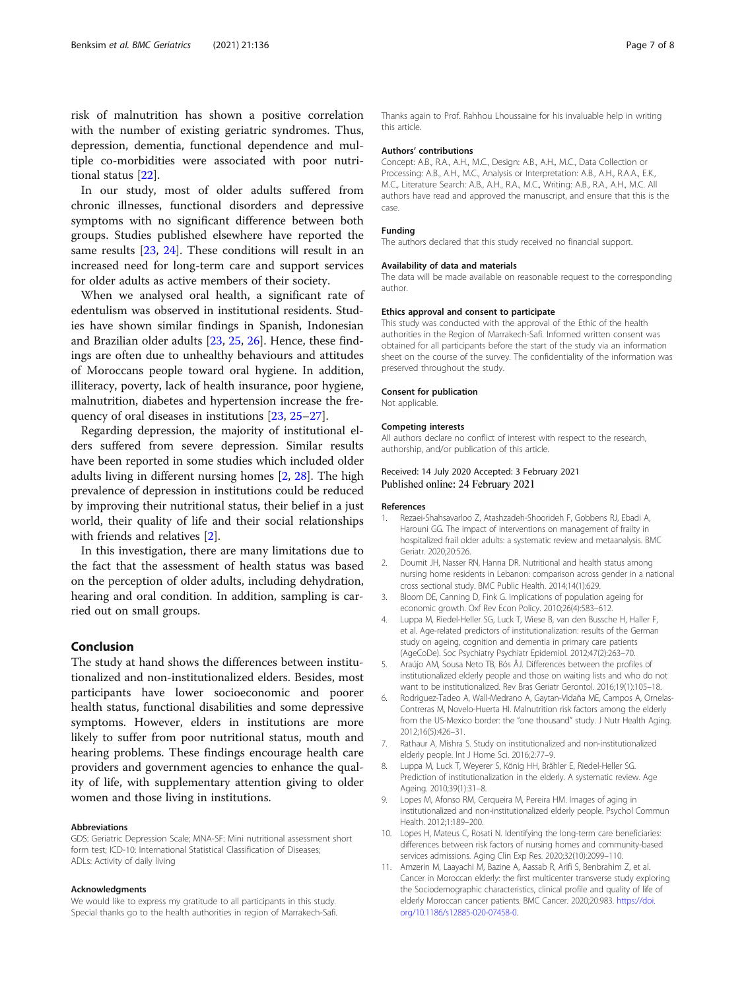<span id="page-6-0"></span>risk of malnutrition has shown a positive correlation with the number of existing geriatric syndromes. Thus, depression, dementia, functional dependence and multiple co-morbidities were associated with poor nutritional status [[22](#page-7-0)].

In our study, most of older adults suffered from chronic illnesses, functional disorders and depressive symptoms with no significant difference between both groups. Studies published elsewhere have reported the same results [[23,](#page-7-0) [24](#page-7-0)]. These conditions will result in an increased need for long-term care and support services for older adults as active members of their society.

When we analysed oral health, a significant rate of edentulism was observed in institutional residents. Studies have shown similar findings in Spanish, Indonesian and Brazilian older adults [[23,](#page-7-0) [25](#page-7-0), [26](#page-7-0)]. Hence, these findings are often due to unhealthy behaviours and attitudes of Moroccans people toward oral hygiene. In addition, illiteracy, poverty, lack of health insurance, poor hygiene, malnutrition, diabetes and hypertension increase the frequency of oral diseases in institutions [[23](#page-7-0), [25](#page-7-0)–[27](#page-7-0)].

Regarding depression, the majority of institutional elders suffered from severe depression. Similar results have been reported in some studies which included older adults living in different nursing homes [2, [28\]](#page-7-0). The high prevalence of depression in institutions could be reduced by improving their nutritional status, their belief in a just world, their quality of life and their social relationships with friends and relatives [2].

In this investigation, there are many limitations due to the fact that the assessment of health status was based on the perception of older adults, including dehydration, hearing and oral condition. In addition, sampling is carried out on small groups.

# Conclusion

The study at hand shows the differences between institutionalized and non-institutionalized elders. Besides, most participants have lower socioeconomic and poorer health status, functional disabilities and some depressive symptoms. However, elders in institutions are more likely to suffer from poor nutritional status, mouth and hearing problems. These findings encourage health care providers and government agencies to enhance the quality of life, with supplementary attention giving to older women and those living in institutions.

#### Abbreviations

GDS: Geriatric Depression Scale; MNA-SF: Mini nutritional assessment short form test; ICD-10: International Statistical Classification of Diseases; ADLs: Activity of daily living

#### Acknowledgments

We would like to express my gratitude to all participants in this study. Special thanks go to the health authorities in region of Marrakech-Safi.

Thanks again to Prof. Rahhou Lhoussaine for his invaluable help in writing this article.

### Authors' contributions

Concept: A.B., R.A., A.H., M.C., Design: A.B., A.H., M.C., Data Collection or Processing: A.B., A.H., M.C., Analysis or Interpretation: A.B., A.H., R.A.A., E.K., M.C., Literature Search: A.B., A.H., R.A., M.C., Writing: A.B., R.A., A.H., M.C. All authors have read and approved the manuscript, and ensure that this is the case.

# Funding

The authors declared that this study received no financial support.

### Availability of data and materials

The data will be made available on reasonable request to the corresponding author.

### Ethics approval and consent to participate

This study was conducted with the approval of the Ethic of the health authorities in the Region of Marrakech-Safi. Informed written consent was obtained for all participants before the start of the study via an information sheet on the course of the survey. The confidentiality of the information was preserved throughout the study.

### Consent for publication

Not applicable.

#### Competing interests

All authors declare no conflict of interest with respect to the research, authorship, and/or publication of this article.

# Received: 14 July 2020 Accepted: 3 February 2021 Published online: 24 February 2021

#### References

- 1. Rezaei-Shahsavarloo Z, Atashzadeh-Shoorideh F, Gobbens RJ, Ebadi A, Harouni GG. The impact of interventions on management of frailty in hospitalized frail older adults: a systematic review and metaanalysis. BMC Geriatr. 2020;20:526.
- 2. Doumit JH, Nasser RN, Hanna DR. Nutritional and health status among nursing home residents in Lebanon: comparison across gender in a national cross sectional study. BMC Public Health. 2014;14(1):629.
- 3. Bloom DE, Canning D, Fink G. Implications of population ageing for economic growth. Oxf Rev Econ Policy. 2010;26(4):583–612.
- 4. Luppa M, Riedel-Heller SG, Luck T, Wiese B, van den Bussche H, Haller F, et al. Age-related predictors of institutionalization: results of the German study on ageing, cognition and dementia in primary care patients (AgeCoDe). Soc Psychiatry Psychiatr Epidemiol. 2012;47(2):263–70.
- 5. Araújo AM, Sousa Neto TB, Bós ÂJ. Differences between the profiles of institutionalized elderly people and those on waiting lists and who do not want to be institutionalized. Rev Bras Geriatr Gerontol. 2016;19(1):105–18.
- 6. Rodriguez-Tadeo A, Wall-Medrano A, Gaytan-Vidaña ME, Campos A, Ornelas-Contreras M, Novelo-Huerta HI. Malnutrition risk factors among the elderly from the US-Mexico border: the "one thousand" study. J Nutr Health Aging. 2012;16(5):426–31.
- 7. Rathaur A, Mishra S. Study on institutionalized and non-institutionalized elderly people. Int J Home Sci. 2016;2:77–9.
- 8. Luppa M, Luck T, Weyerer S, König HH, Brähler E, Riedel-Heller SG. Prediction of institutionalization in the elderly. A systematic review. Age Ageing. 2010;39(1):31–8.
- 9. Lopes M, Afonso RM, Cerqueira M, Pereira HM. Images of aging in institutionalized and non-institutionalized elderly people. Psychol Commun Health. 2012;1:189–200.
- 10. Lopes H, Mateus C, Rosati N. Identifying the long-term care beneficiaries: differences between risk factors of nursing homes and community-based services admissions. Aging Clin Exp Res. 2020;32(10):2099–110.
- 11. Amzerin M, Laayachi M, Bazine A, Aassab R, Arifi S, Benbrahim Z, et al. Cancer in Moroccan elderly: the first multicenter transverse study exploring the Sociodemographic characteristics, clinical profile and quality of life of elderly Moroccan cancer patients. BMC Cancer. 2020;20:983. [https://doi.](https://doi.org/10.1186/s12885-020-07458-0) [org/10.1186/s12885-020-07458-0.](https://doi.org/10.1186/s12885-020-07458-0)